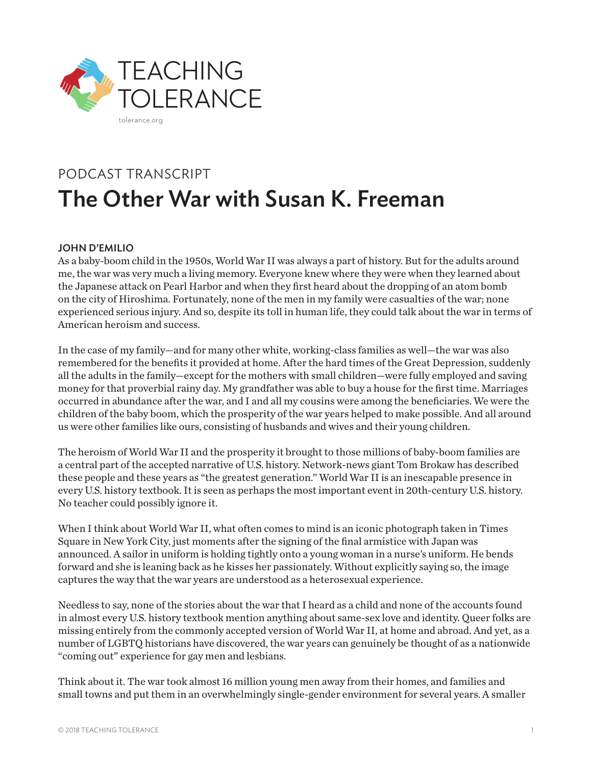

# PODCAST TRANSCRIPT The Other War with Susan K. Freeman

## JOHN D'EMILIO

As a baby-boom child in the 1950s, World War II was always a part of history. But for the adults around me, the war was very much a living memory. Everyone knew where they were when they learned about the Japanese attack on Pearl Harbor and when they first heard about the dropping of an atom bomb on the city of Hiroshima. Fortunately, none of the men in my family were casualties of the war; none experienced serious injury. And so, despite its toll in human life, they could talk about the war in terms of American heroism and success.

In the case of my family—and for many other white, working-class families as well—the war was also remembered for the benefits it provided at home. After the hard times of the Great Depression, suddenly all the adults in the family—except for the mothers with small children—were fully employed and saving money for that proverbial rainy day. My grandfather was able to buy a house for the first time. Marriages occurred in abundance after the war, and I and all my cousins were among the beneficiaries. We were the children of the baby boom, which the prosperity of the war years helped to make possible. And all around us were other families like ours, consisting of husbands and wives and their young children.

The heroism of World War II and the prosperity it brought to those millions of baby-boom families are a central part of the accepted narrative of U.S. history. Network-news giant Tom Brokaw has described these people and these years as "the greatest generation." World War II is an inescapable presence in every U.S. history textbook. It is seen as perhaps the most important event in 20th-century U.S. history. No teacher could possibly ignore it.

When I think about World War II, what often comes to mind is an iconic photograph taken in Times Square in New York City, just moments after the signing of the final armistice with Japan was announced. A sailor in uniform is holding tightly onto a young woman in a nurse's uniform. He bends forward and she is leaning back as he kisses her passionately. Without explicitly saying so, the image captures the way that the war years are understood as a heterosexual experience.

Needless to say, none of the stories about the war that I heard as a child and none of the accounts found in almost every U.S. history textbook mention anything about same-sex love and identity. Queer folks are missing entirely from the commonly accepted version of World War II, at home and abroad. And yet, as a number of LGBTQ historians have discovered, the war years can genuinely be thought of as a nationwide "coming out" experience for gay men and lesbians.

Think about it. The war took almost 16 million young men away from their homes, and families and small towns and put them in an overwhelmingly single-gender environment for several years. A smaller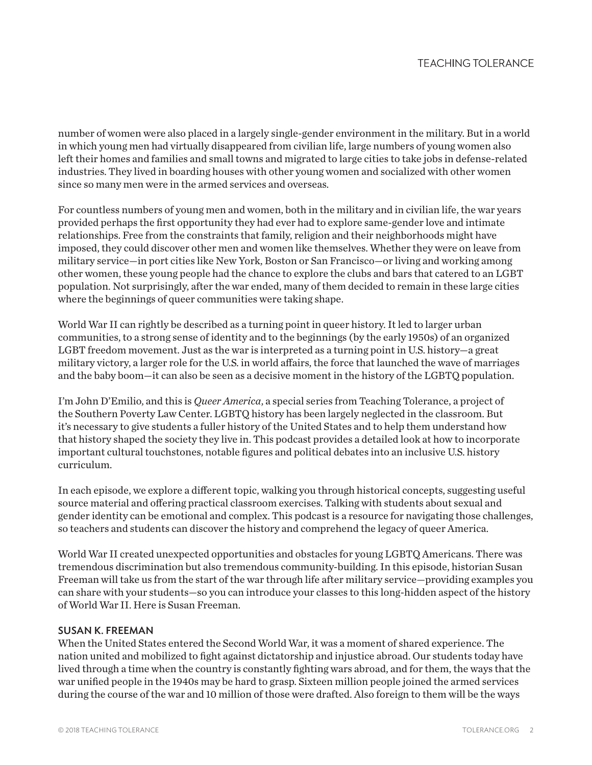number of women were also placed in a largely single-gender environment in the military. But in a world in which young men had virtually disappeared from civilian life, large numbers of young women also left their homes and families and small towns and migrated to large cities to take jobs in defense-related industries. They lived in boarding houses with other young women and socialized with other women since so many men were in the armed services and overseas.

For countless numbers of young men and women, both in the military and in civilian life, the war years provided perhaps the first opportunity they had ever had to explore same-gender love and intimate relationships. Free from the constraints that family, religion and their neighborhoods might have imposed, they could discover other men and women like themselves. Whether they were on leave from military service—in port cities like New York, Boston or San Francisco—or living and working among other women, these young people had the chance to explore the clubs and bars that catered to an LGBT population. Not surprisingly, after the war ended, many of them decided to remain in these large cities where the beginnings of queer communities were taking shape.

World War II can rightly be described as a turning point in queer history. It led to larger urban communities, to a strong sense of identity and to the beginnings (by the early 1950s) of an organized LGBT freedom movement. Just as the war is interpreted as a turning point in U.S. history—a great military victory, a larger role for the U.S. in world affairs, the force that launched the wave of marriages and the baby boom—it can also be seen as a decisive moment in the history of the LGBTQ population.

I'm John D'Emilio, and this is *Queer America*, a special series from Teaching Tolerance, a project of the Southern Poverty Law Center. LGBTQ history has been largely neglected in the classroom. But it's necessary to give students a fuller history of the United States and to help them understand how that history shaped the society they live in. This podcast provides a detailed look at how to incorporate important cultural touchstones, notable figures and political debates into an inclusive U.S. history curriculum.

In each episode, we explore a different topic, walking you through historical concepts, suggesting useful source material and offering practical classroom exercises. Talking with students about sexual and gender identity can be emotional and complex. This podcast is a resource for navigating those challenges, so teachers and students can discover the history and comprehend the legacy of queer America.

World War II created unexpected opportunities and obstacles for young LGBTQ Americans. There was tremendous discrimination but also tremendous community-building. In this episode, historian Susan Freeman will take us from the start of the war through life after military service—providing examples you can share with your students—so you can introduce your classes to this long-hidden aspect of the history of World War II. Here is Susan Freeman.

#### SUSAN K. FREEMAN

When the United States entered the Second World War, it was a moment of shared experience. The nation united and mobilized to fight against dictatorship and injustice abroad. Our students today have lived through a time when the country is constantly fighting wars abroad, and for them, the ways that the war unified people in the 1940s may be hard to grasp. Sixteen million people joined the armed services during the course of the war and 10 million of those were drafted. Also foreign to them will be the ways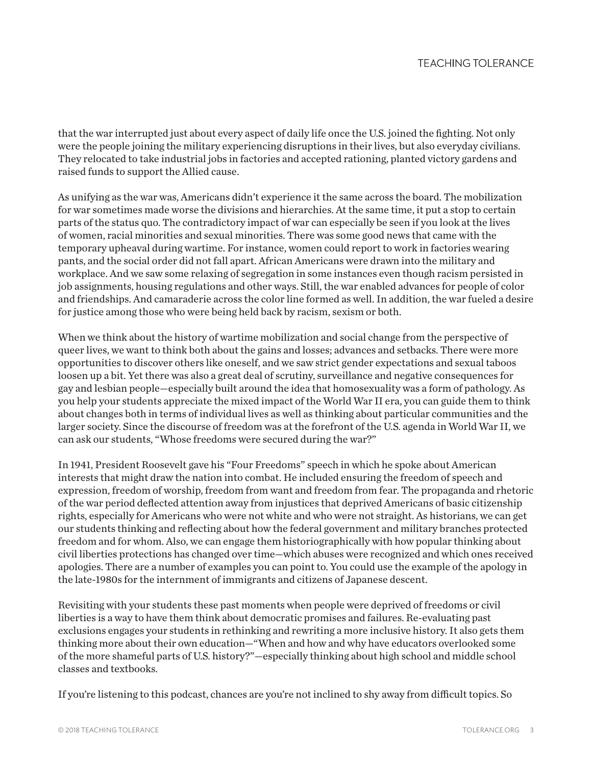that the war interrupted just about every aspect of daily life once the U.S. joined the fighting. Not only were the people joining the military experiencing disruptions in their lives, but also everyday civilians. They relocated to take industrial jobs in factories and accepted rationing, planted victory gardens and raised funds to support the Allied cause.

As unifying as the war was, Americans didn't experience it the same across the board. The mobilization for war sometimes made worse the divisions and hierarchies. At the same time, it put a stop to certain parts of the status quo. The contradictory impact of war can especially be seen if you look at the lives of women, racial minorities and sexual minorities. There was some good news that came with the temporary upheaval during wartime. For instance, women could report to work in factories wearing pants, and the social order did not fall apart. African Americans were drawn into the military and workplace. And we saw some relaxing of segregation in some instances even though racism persisted in job assignments, housing regulations and other ways. Still, the war enabled advances for people of color and friendships. And camaraderie across the color line formed as well. In addition, the war fueled a desire for justice among those who were being held back by racism, sexism or both.

When we think about the history of wartime mobilization and social change from the perspective of queer lives, we want to think both about the gains and losses; advances and setbacks. There were more opportunities to discover others like oneself, and we saw strict gender expectations and sexual taboos loosen up a bit. Yet there was also a great deal of scrutiny, surveillance and negative consequences for gay and lesbian people—especially built around the idea that homosexuality was a form of pathology. As you help your students appreciate the mixed impact of the World War II era, you can guide them to think about changes both in terms of individual lives as well as thinking about particular communities and the larger society. Since the discourse of freedom was at the forefront of the U.S. agenda in World War II, we can ask our students, "Whose freedoms were secured during the war?"

In 1941, President Roosevelt gave his "Four Freedoms" speech in which he spoke about American interests that might draw the nation into combat. He included ensuring the freedom of speech and expression, freedom of worship, freedom from want and freedom from fear. The propaganda and rhetoric of the war period deflected attention away from injustices that deprived Americans of basic citizenship rights, especially for Americans who were not white and who were not straight. As historians, we can get our students thinking and reflecting about how the federal government and military branches protected freedom and for whom. Also, we can engage them historiographically with how popular thinking about civil liberties protections has changed over time—which abuses were recognized and which ones received apologies. There are a number of examples you can point to. You could use the example of the apology in the late-1980s for the internment of immigrants and citizens of Japanese descent.

Revisiting with your students these past moments when people were deprived of freedoms or civil liberties is a way to have them think about democratic promises and failures. Re-evaluating past exclusions engages your students in rethinking and rewriting a more inclusive history. It also gets them thinking more about their own education—"When and how and why have educators overlooked some of the more shameful parts of U.S. history?"—especially thinking about high school and middle school classes and textbooks.

If you're listening to this podcast, chances are you're not inclined to shy away from difficult topics. So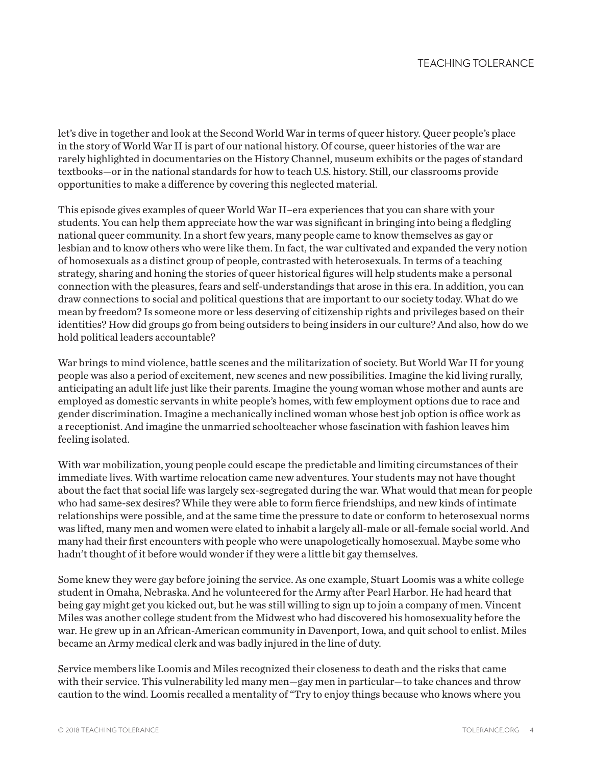let's dive in together and look at the Second World War in terms of queer history. Queer people's place in the story of World War II is part of our national history. Of course, queer histories of the war are rarely highlighted in documentaries on the History Channel, museum exhibits or the pages of standard textbooks—or in the national standards for how to teach U.S. history. Still, our classrooms provide opportunities to make a difference by covering this neglected material.

This episode gives examples of queer World War II–era experiences that you can share with your students. You can help them appreciate how the war was significant in bringing into being a fledgling national queer community. In a short few years, many people came to know themselves as gay or lesbian and to know others who were like them. In fact, the war cultivated and expanded the very notion of homosexuals as a distinct group of people, contrasted with heterosexuals. In terms of a teaching strategy, sharing and honing the stories of queer historical figures will help students make a personal connection with the pleasures, fears and self-understandings that arose in this era. In addition, you can draw connections to social and political questions that are important to our society today. What do we mean by freedom? Is someone more or less deserving of citizenship rights and privileges based on their identities? How did groups go from being outsiders to being insiders in our culture? And also, how do we hold political leaders accountable?

War brings to mind violence, battle scenes and the militarization of society. But World War II for young people was also a period of excitement, new scenes and new possibilities. Imagine the kid living rurally, anticipating an adult life just like their parents. Imagine the young woman whose mother and aunts are employed as domestic servants in white people's homes, with few employment options due to race and gender discrimination. Imagine a mechanically inclined woman whose best job option is office work as a receptionist. And imagine the unmarried schoolteacher whose fascination with fashion leaves him feeling isolated.

With war mobilization, young people could escape the predictable and limiting circumstances of their immediate lives. With wartime relocation came new adventures. Your students may not have thought about the fact that social life was largely sex-segregated during the war. What would that mean for people who had same-sex desires? While they were able to form fierce friendships, and new kinds of intimate relationships were possible, and at the same time the pressure to date or conform to heterosexual norms was lifted, many men and women were elated to inhabit a largely all-male or all-female social world. And many had their first encounters with people who were unapologetically homosexual. Maybe some who hadn't thought of it before would wonder if they were a little bit gay themselves.

Some knew they were gay before joining the service. As one example, Stuart Loomis was a white college student in Omaha, Nebraska. And he volunteered for the Army after Pearl Harbor. He had heard that being gay might get you kicked out, but he was still willing to sign up to join a company of men. Vincent Miles was another college student from the Midwest who had discovered his homosexuality before the war. He grew up in an African-American community in Davenport, Iowa, and quit school to enlist. Miles became an Army medical clerk and was badly injured in the line of duty.

Service members like Loomis and Miles recognized their closeness to death and the risks that came with their service. This vulnerability led many men—gay men in particular—to take chances and throw caution to the wind. Loomis recalled a mentality of "Try to enjoy things because who knows where you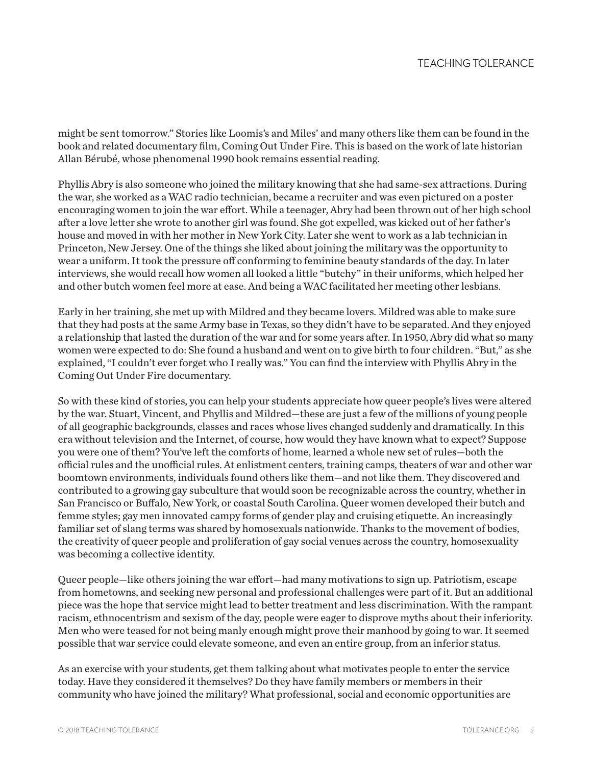might be sent tomorrow." Stories like Loomis's and Miles' and many others like them can be found in the book and related documentary film, Coming Out Under Fire. This is based on the work of late historian Allan Bérubé, whose phenomenal 1990 book remains essential reading.

Phyllis Abry is also someone who joined the military knowing that she had same-sex attractions. During the war, she worked as a WAC radio technician, became a recruiter and was even pictured on a poster encouraging women to join the war effort. While a teenager, Abry had been thrown out of her high school after a love letter she wrote to another girl was found. She got expelled, was kicked out of her father's house and moved in with her mother in New York City. Later she went to work as a lab technician in Princeton, New Jersey. One of the things she liked about joining the military was the opportunity to wear a uniform. It took the pressure off conforming to feminine beauty standards of the day. In later interviews, she would recall how women all looked a little "butchy" in their uniforms, which helped her and other butch women feel more at ease. And being a WAC facilitated her meeting other lesbians.

Early in her training, she met up with Mildred and they became lovers. Mildred was able to make sure that they had posts at the same Army base in Texas, so they didn't have to be separated. And they enjoyed a relationship that lasted the duration of the war and for some years after. In 1950, Abry did what so many women were expected to do: She found a husband and went on to give birth to four children. "But," as she explained, "I couldn't ever forget who I really was." You can find the interview with Phyllis Abry in the Coming Out Under Fire documentary.

So with these kind of stories, you can help your students appreciate how queer people's lives were altered by the war. Stuart, Vincent, and Phyllis and Mildred—these are just a few of the millions of young people of all geographic backgrounds, classes and races whose lives changed suddenly and dramatically. In this era without television and the Internet, of course, how would they have known what to expect? Suppose you were one of them? You've left the comforts of home, learned a whole new set of rules—both the official rules and the unofficial rules. At enlistment centers, training camps, theaters of war and other war boomtown environments, individuals found others like them—and not like them. They discovered and contributed to a growing gay subculture that would soon be recognizable across the country, whether in San Francisco or Buffalo, New York, or coastal South Carolina. Queer women developed their butch and femme styles; gay men innovated campy forms of gender play and cruising etiquette. An increasingly familiar set of slang terms was shared by homosexuals nationwide. Thanks to the movement of bodies, the creativity of queer people and proliferation of gay social venues across the country, homosexuality was becoming a collective identity.

Queer people—like others joining the war effort—had many motivations to sign up. Patriotism, escape from hometowns, and seeking new personal and professional challenges were part of it. But an additional piece was the hope that service might lead to better treatment and less discrimination. With the rampant racism, ethnocentrism and sexism of the day, people were eager to disprove myths about their inferiority. Men who were teased for not being manly enough might prove their manhood by going to war. It seemed possible that war service could elevate someone, and even an entire group, from an inferior status.

As an exercise with your students, get them talking about what motivates people to enter the service today. Have they considered it themselves? Do they have family members or members in their community who have joined the military? What professional, social and economic opportunities are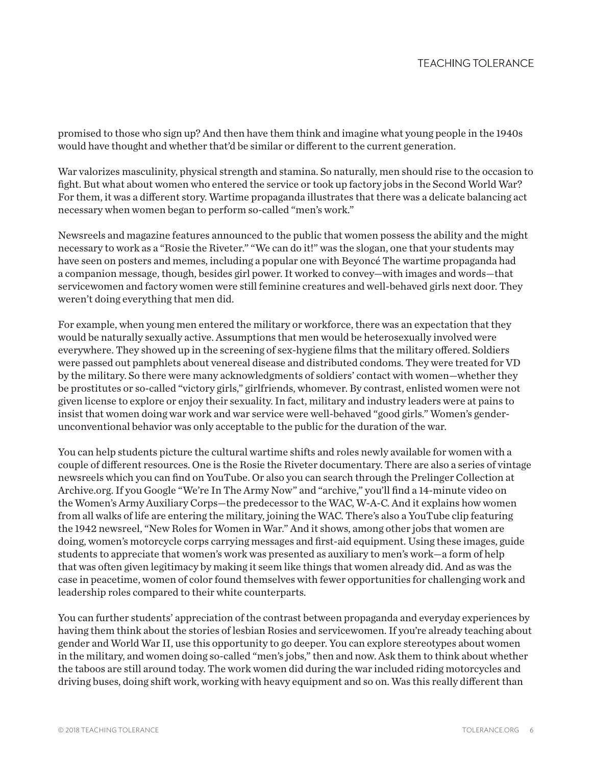promised to those who sign up? And then have them think and imagine what young people in the 1940s would have thought and whether that'd be similar or different to the current generation.

War valorizes masculinity, physical strength and stamina. So naturally, men should rise to the occasion to fight. But what about women who entered the service or took up factory jobs in the Second World War? For them, it was a different story. Wartime propaganda illustrates that there was a delicate balancing act necessary when women began to perform so-called "men's work."

Newsreels and magazine features announced to the public that women possess the ability and the might necessary to work as a "Rosie the Riveter." "We can do it!" was the slogan, one that your students may have seen on posters and memes, including a popular one with Beyoncé The wartime propaganda had a companion message, though, besides girl power. It worked to convey—with images and words—that servicewomen and factory women were still feminine creatures and well-behaved girls next door. They weren't doing everything that men did.

For example, when young men entered the military or workforce, there was an expectation that they would be naturally sexually active. Assumptions that men would be heterosexually involved were everywhere. They showed up in the screening of sex-hygiene films that the military offered. Soldiers were passed out pamphlets about venereal disease and distributed condoms. They were treated for VD by the military. So there were many acknowledgments of soldiers' contact with women—whether they be prostitutes or so-called "victory girls," girlfriends, whomever. By contrast, enlisted women were not given license to explore or enjoy their sexuality. In fact, military and industry leaders were at pains to insist that women doing war work and war service were well-behaved "good girls." Women's genderunconventional behavior was only acceptable to the public for the duration of the war.

You can help students picture the cultural wartime shifts and roles newly available for women with a couple of different resources. One is the Rosie the Riveter documentary. There are also a series of vintage newsreels which you can find on YouTube. Or also you can search through the Prelinger Collection at Archive.org. If you Google "We're In The Army Now" and "archive," you'll find a 14-minute video on the Women's Army Auxiliary Corps—the predecessor to the WAC, W-A-C. And it explains how women from all walks of life are entering the military, joining the WAC. There's also a YouTube clip featuring the 1942 newsreel, "New Roles for Women in War." And it shows, among other jobs that women are doing, women's motorcycle corps carrying messages and first-aid equipment. Using these images, guide students to appreciate that women's work was presented as auxiliary to men's work—a form of help that was often given legitimacy by making it seem like things that women already did. And as was the case in peacetime, women of color found themselves with fewer opportunities for challenging work and leadership roles compared to their white counterparts.

You can further students' appreciation of the contrast between propaganda and everyday experiences by having them think about the stories of lesbian Rosies and servicewomen. If you're already teaching about gender and World War II, use this opportunity to go deeper. You can explore stereotypes about women in the military, and women doing so-called "men's jobs," then and now. Ask them to think about whether the taboos are still around today. The work women did during the war included riding motorcycles and driving buses, doing shift work, working with heavy equipment and so on. Was this really different than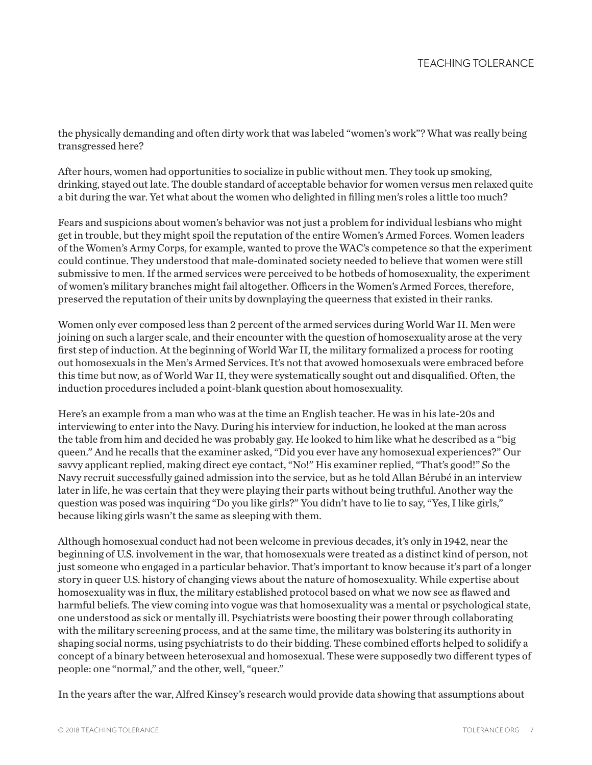the physically demanding and often dirty work that was labeled "women's work"? What was really being transgressed here?

After hours, women had opportunities to socialize in public without men. They took up smoking, drinking, stayed out late. The double standard of acceptable behavior for women versus men relaxed quite a bit during the war. Yet what about the women who delighted in filling men's roles a little too much?

Fears and suspicions about women's behavior was not just a problem for individual lesbians who might get in trouble, but they might spoil the reputation of the entire Women's Armed Forces. Women leaders of the Women's Army Corps, for example, wanted to prove the WAC's competence so that the experiment could continue. They understood that male-dominated society needed to believe that women were still submissive to men. If the armed services were perceived to be hotbeds of homosexuality, the experiment of women's military branches might fail altogether. Officers in the Women's Armed Forces, therefore, preserved the reputation of their units by downplaying the queerness that existed in their ranks.

Women only ever composed less than 2 percent of the armed services during World War II. Men were joining on such a larger scale, and their encounter with the question of homosexuality arose at the very first step of induction. At the beginning of World War II, the military formalized a process for rooting out homosexuals in the Men's Armed Services. It's not that avowed homosexuals were embraced before this time but now, as of World War II, they were systematically sought out and disqualified. Often, the induction procedures included a point-blank question about homosexuality.

Here's an example from a man who was at the time an English teacher. He was in his late-20s and interviewing to enter into the Navy. During his interview for induction, he looked at the man across the table from him and decided he was probably gay. He looked to him like what he described as a "big queen." And he recalls that the examiner asked, "Did you ever have any homosexual experiences?" Our savvy applicant replied, making direct eye contact, "No!" His examiner replied, "That's good!" So the Navy recruit successfully gained admission into the service, but as he told Allan Bérubé in an interview later in life, he was certain that they were playing their parts without being truthful. Another way the question was posed was inquiring "Do you like girls?" You didn't have to lie to say, "Yes, I like girls," because liking girls wasn't the same as sleeping with them.

Although homosexual conduct had not been welcome in previous decades, it's only in 1942, near the beginning of U.S. involvement in the war, that homosexuals were treated as a distinct kind of person, not just someone who engaged in a particular behavior. That's important to know because it's part of a longer story in queer U.S. history of changing views about the nature of homosexuality. While expertise about homosexuality was in flux, the military established protocol based on what we now see as flawed and harmful beliefs. The view coming into vogue was that homosexuality was a mental or psychological state, one understood as sick or mentally ill. Psychiatrists were boosting their power through collaborating with the military screening process, and at the same time, the military was bolstering its authority in shaping social norms, using psychiatrists to do their bidding. These combined efforts helped to solidify a concept of a binary between heterosexual and homosexual. These were supposedly two different types of people: one "normal," and the other, well, "queer."

In the years after the war, Alfred Kinsey's research would provide data showing that assumptions about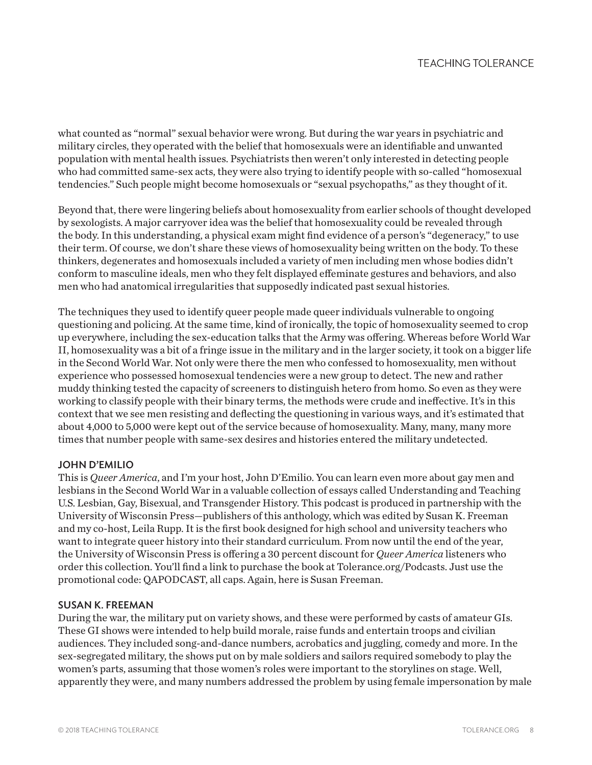what counted as "normal" sexual behavior were wrong. But during the war years in psychiatric and military circles, they operated with the belief that homosexuals were an identifiable and unwanted population with mental health issues. Psychiatrists then weren't only interested in detecting people who had committed same-sex acts, they were also trying to identify people with so-called "homosexual tendencies." Such people might become homosexuals or "sexual psychopaths," as they thought of it.

Beyond that, there were lingering beliefs about homosexuality from earlier schools of thought developed by sexologists. A major carryover idea was the belief that homosexuality could be revealed through the body. In this understanding, a physical exam might find evidence of a person's "degeneracy," to use their term. Of course, we don't share these views of homosexuality being written on the body. To these thinkers, degenerates and homosexuals included a variety of men including men whose bodies didn't conform to masculine ideals, men who they felt displayed effeminate gestures and behaviors, and also men who had anatomical irregularities that supposedly indicated past sexual histories.

The techniques they used to identify queer people made queer individuals vulnerable to ongoing questioning and policing. At the same time, kind of ironically, the topic of homosexuality seemed to crop up everywhere, including the sex-education talks that the Army was offering. Whereas before World War II, homosexuality was a bit of a fringe issue in the military and in the larger society, it took on a bigger life in the Second World War. Not only were there the men who confessed to homosexuality, men without experience who possessed homosexual tendencies were a new group to detect. The new and rather muddy thinking tested the capacity of screeners to distinguish hetero from homo. So even as they were working to classify people with their binary terms, the methods were crude and ineffective. It's in this context that we see men resisting and deflecting the questioning in various ways, and it's estimated that about 4,000 to 5,000 were kept out of the service because of homosexuality. Many, many, many more times that number people with same-sex desires and histories entered the military undetected.

# JOHN D'EMILIO

This is *Queer America*, and I'm your host, John D'Emilio. You can learn even more about gay men and lesbians in the Second World War in a valuable collection of essays called Understanding and Teaching U.S. Lesbian, Gay, Bisexual, and Transgender History. This podcast is produced in partnership with the University of Wisconsin Press—publishers of this anthology, which was edited by Susan K. Freeman and my co-host, Leila Rupp. It is the first book designed for high school and university teachers who want to integrate queer history into their standard curriculum. From now until the end of the year, the University of Wisconsin Press is offering a 30 percent discount for *Queer America* listeners who order this collection. You'll find a link to purchase the book at Tolerance.org/Podcasts. Just use the promotional code: QAPODCAST, all caps. Again, here is Susan Freeman.

#### SUSAN K. FREEMAN

During the war, the military put on variety shows, and these were performed by casts of amateur GIs. These GI shows were intended to help build morale, raise funds and entertain troops and civilian audiences. They included song-and-dance numbers, acrobatics and juggling, comedy and more. In the sex-segregated military, the shows put on by male soldiers and sailors required somebody to play the women's parts, assuming that those women's roles were important to the storylines on stage. Well, apparently they were, and many numbers addressed the problem by using female impersonation by male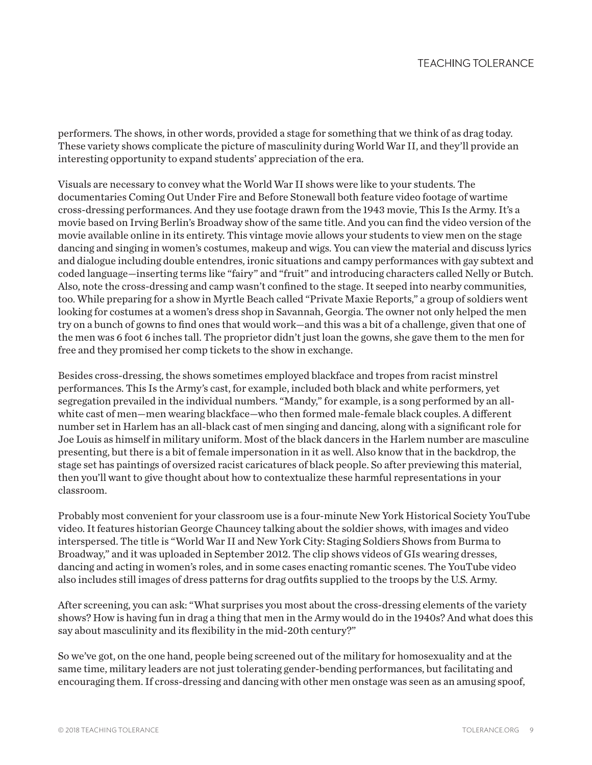performers. The shows, in other words, provided a stage for something that we think of as drag today. These variety shows complicate the picture of masculinity during World War II, and they'll provide an interesting opportunity to expand students' appreciation of the era.

Visuals are necessary to convey what the World War II shows were like to your students. The documentaries Coming Out Under Fire and Before Stonewall both feature video footage of wartime cross-dressing performances. And they use footage drawn from the 1943 movie, This Is the Army. It's a movie based on Irving Berlin's Broadway show of the same title. And you can find the video version of the movie available online in its entirety. This vintage movie allows your students to view men on the stage dancing and singing in women's costumes, makeup and wigs. You can view the material and discuss lyrics and dialogue including double entendres, ironic situations and campy performances with gay subtext and coded language—inserting terms like "fairy" and "fruit" and introducing characters called Nelly or Butch. Also, note the cross-dressing and camp wasn't confined to the stage. It seeped into nearby communities, too. While preparing for a show in Myrtle Beach called "Private Maxie Reports," a group of soldiers went looking for costumes at a women's dress shop in Savannah, Georgia. The owner not only helped the men try on a bunch of gowns to find ones that would work—and this was a bit of a challenge, given that one of the men was 6 foot 6 inches tall. The proprietor didn't just loan the gowns, she gave them to the men for free and they promised her comp tickets to the show in exchange.

Besides cross-dressing, the shows sometimes employed blackface and tropes from racist minstrel performances. This Is the Army's cast, for example, included both black and white performers, yet segregation prevailed in the individual numbers. "Mandy," for example, is a song performed by an allwhite cast of men—men wearing blackface—who then formed male-female black couples. A different number set in Harlem has an all-black cast of men singing and dancing, along with a significant role for Joe Louis as himself in military uniform. Most of the black dancers in the Harlem number are masculine presenting, but there is a bit of female impersonation in it as well. Also know that in the backdrop, the stage set has paintings of oversized racist caricatures of black people. So after previewing this material, then you'll want to give thought about how to contextualize these harmful representations in your classroom.

Probably most convenient for your classroom use is a four-minute New York Historical Society YouTube video. It features historian George Chauncey talking about the soldier shows, with images and video interspersed. The title is "World War II and New York City: Staging Soldiers Shows from Burma to Broadway," and it was uploaded in September 2012. The clip shows videos of GIs wearing dresses, dancing and acting in women's roles, and in some cases enacting romantic scenes. The YouTube video also includes still images of dress patterns for drag outfits supplied to the troops by the U.S. Army.

After screening, you can ask: "What surprises you most about the cross-dressing elements of the variety shows? How is having fun in drag a thing that men in the Army would do in the 1940s? And what does this say about masculinity and its flexibility in the mid-20th century?"

So we've got, on the one hand, people being screened out of the military for homosexuality and at the same time, military leaders are not just tolerating gender-bending performances, but facilitating and encouraging them. If cross-dressing and dancing with other men onstage was seen as an amusing spoof,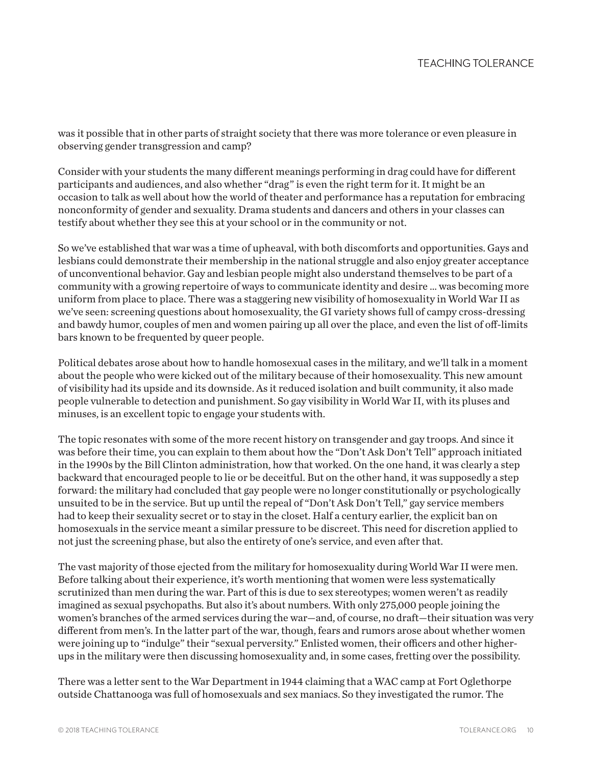was it possible that in other parts of straight society that there was more tolerance or even pleasure in observing gender transgression and camp?

Consider with your students the many different meanings performing in drag could have for different participants and audiences, and also whether "drag" is even the right term for it. It might be an occasion to talk as well about how the world of theater and performance has a reputation for embracing nonconformity of gender and sexuality. Drama students and dancers and others in your classes can testify about whether they see this at your school or in the community or not.

So we've established that war was a time of upheaval, with both discomforts and opportunities. Gays and lesbians could demonstrate their membership in the national struggle and also enjoy greater acceptance of unconventional behavior. Gay and lesbian people might also understand themselves to be part of a community with a growing repertoire of ways to communicate identity and desire … was becoming more uniform from place to place. There was a staggering new visibility of homosexuality in World War II as we've seen: screening questions about homosexuality, the GI variety shows full of campy cross-dressing and bawdy humor, couples of men and women pairing up all over the place, and even the list of off-limits bars known to be frequented by queer people.

Political debates arose about how to handle homosexual cases in the military, and we'll talk in a moment about the people who were kicked out of the military because of their homosexuality. This new amount of visibility had its upside and its downside. As it reduced isolation and built community, it also made people vulnerable to detection and punishment. So gay visibility in World War II, with its pluses and minuses, is an excellent topic to engage your students with.

The topic resonates with some of the more recent history on transgender and gay troops. And since it was before their time, you can explain to them about how the "Don't Ask Don't Tell" approach initiated in the 1990s by the Bill Clinton administration, how that worked. On the one hand, it was clearly a step backward that encouraged people to lie or be deceitful. But on the other hand, it was supposedly a step forward: the military had concluded that gay people were no longer constitutionally or psychologically unsuited to be in the service. But up until the repeal of "Don't Ask Don't Tell," gay service members had to keep their sexuality secret or to stay in the closet. Half a century earlier, the explicit ban on homosexuals in the service meant a similar pressure to be discreet. This need for discretion applied to not just the screening phase, but also the entirety of one's service, and even after that.

The vast majority of those ejected from the military for homosexuality during World War II were men. Before talking about their experience, it's worth mentioning that women were less systematically scrutinized than men during the war. Part of this is due to sex stereotypes; women weren't as readily imagined as sexual psychopaths. But also it's about numbers. With only 275,000 people joining the women's branches of the armed services during the war—and, of course, no draft—their situation was very different from men's. In the latter part of the war, though, fears and rumors arose about whether women were joining up to "indulge" their "sexual perversity." Enlisted women, their officers and other higherups in the military were then discussing homosexuality and, in some cases, fretting over the possibility.

There was a letter sent to the War Department in 1944 claiming that a WAC camp at Fort Oglethorpe outside Chattanooga was full of homosexuals and sex maniacs. So they investigated the rumor. The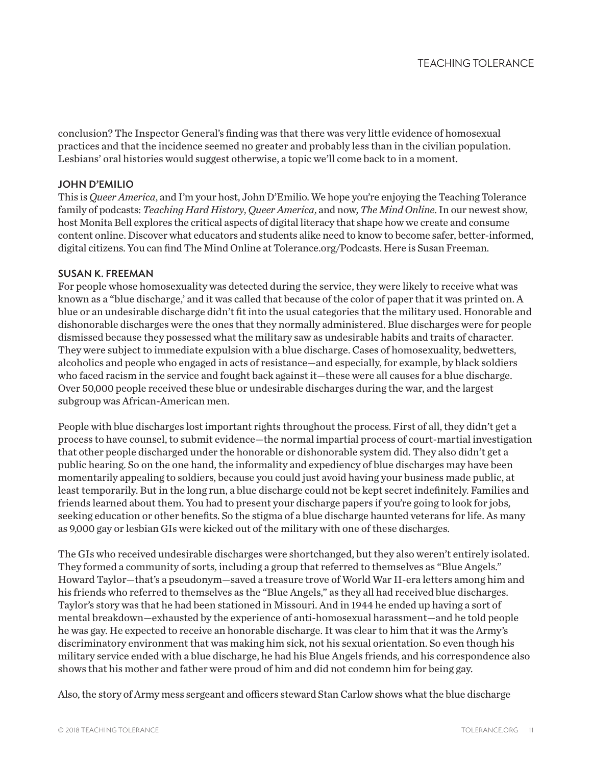conclusion? The Inspector General's finding was that there was very little evidence of homosexual practices and that the incidence seemed no greater and probably less than in the civilian population. Lesbians' oral histories would suggest otherwise, a topic we'll come back to in a moment.

### JOHN D'EMILIO

This is *Queer America*, and I'm your host, John D'Emilio. We hope you're enjoying the Teaching Tolerance family of podcasts: *Teaching Hard History*, *Queer America*, and now, *The Mind Online*. In our newest show, host Monita Bell explores the critical aspects of digital literacy that shape how we create and consume content online. Discover what educators and students alike need to know to become safer, better-informed, digital citizens. You can find The Mind Online at Tolerance.org/Podcasts. Here is Susan Freeman.

#### SUSAN K. FREEMAN

For people whose homosexuality was detected during the service, they were likely to receive what was known as a "blue discharge,' and it was called that because of the color of paper that it was printed on. A blue or an undesirable discharge didn't fit into the usual categories that the military used. Honorable and dishonorable discharges were the ones that they normally administered. Blue discharges were for people dismissed because they possessed what the military saw as undesirable habits and traits of character. They were subject to immediate expulsion with a blue discharge. Cases of homosexuality, bedwetters, alcoholics and people who engaged in acts of resistance—and especially, for example, by black soldiers who faced racism in the service and fought back against it—these were all causes for a blue discharge. Over 50,000 people received these blue or undesirable discharges during the war, and the largest subgroup was African-American men.

People with blue discharges lost important rights throughout the process. First of all, they didn't get a process to have counsel, to submit evidence—the normal impartial process of court-martial investigation that other people discharged under the honorable or dishonorable system did. They also didn't get a public hearing. So on the one hand, the informality and expediency of blue discharges may have been momentarily appealing to soldiers, because you could just avoid having your business made public, at least temporarily. But in the long run, a blue discharge could not be kept secret indefinitely. Families and friends learned about them. You had to present your discharge papers if you're going to look for jobs, seeking education or other benefits. So the stigma of a blue discharge haunted veterans for life. As many as 9,000 gay or lesbian GIs were kicked out of the military with one of these discharges.

The GIs who received undesirable discharges were shortchanged, but they also weren't entirely isolated. They formed a community of sorts, including a group that referred to themselves as "Blue Angels." Howard Taylor—that's a pseudonym—saved a treasure trove of World War II-era letters among him and his friends who referred to themselves as the "Blue Angels," as they all had received blue discharges. Taylor's story was that he had been stationed in Missouri. And in 1944 he ended up having a sort of mental breakdown—exhausted by the experience of anti-homosexual harassment—and he told people he was gay. He expected to receive an honorable discharge. It was clear to him that it was the Army's discriminatory environment that was making him sick, not his sexual orientation. So even though his military service ended with a blue discharge, he had his Blue Angels friends, and his correspondence also shows that his mother and father were proud of him and did not condemn him for being gay.

Also, the story of Army mess sergeant and officers steward Stan Carlow shows what the blue discharge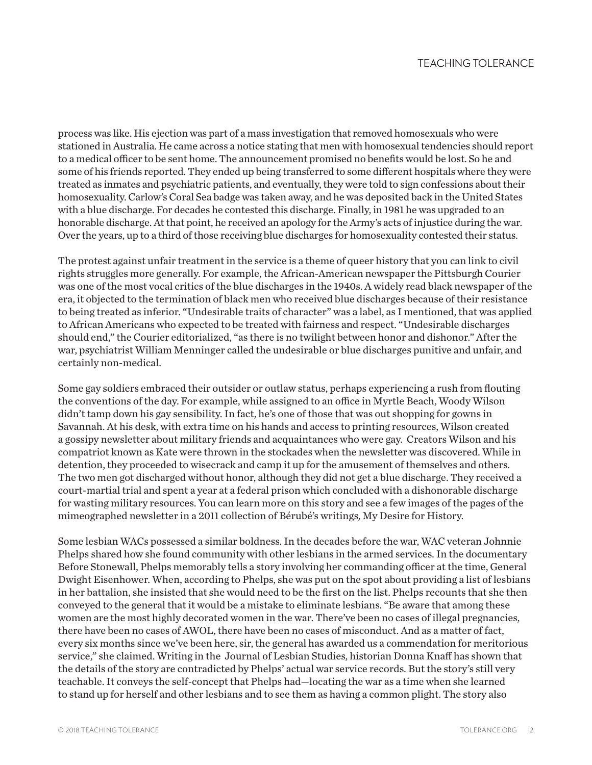process was like. His ejection was part of a mass investigation that removed homosexuals who were stationed in Australia. He came across a notice stating that men with homosexual tendencies should report to a medical officer to be sent home. The announcement promised no benefits would be lost. So he and some of his friends reported. They ended up being transferred to some different hospitals where they were treated as inmates and psychiatric patients, and eventually, they were told to sign confessions about their homosexuality. Carlow's Coral Sea badge was taken away, and he was deposited back in the United States with a blue discharge. For decades he contested this discharge. Finally, in 1981 he was upgraded to an honorable discharge. At that point, he received an apology for the Army's acts of injustice during the war. Over the years, up to a third of those receiving blue discharges for homosexuality contested their status.

The protest against unfair treatment in the service is a theme of queer history that you can link to civil rights struggles more generally. For example, the African-American newspaper the Pittsburgh Courier was one of the most vocal critics of the blue discharges in the 1940s. A widely read black newspaper of the era, it objected to the termination of black men who received blue discharges because of their resistance to being treated as inferior. "Undesirable traits of character" was a label, as I mentioned, that was applied to African Americans who expected to be treated with fairness and respect. "Undesirable discharges should end," the Courier editorialized, "as there is no twilight between honor and dishonor." After the war, psychiatrist William Menninger called the undesirable or blue discharges punitive and unfair, and certainly non-medical.

Some gay soldiers embraced their outsider or outlaw status, perhaps experiencing a rush from flouting the conventions of the day. For example, while assigned to an office in Myrtle Beach, Woody Wilson didn't tamp down his gay sensibility. In fact, he's one of those that was out shopping for gowns in Savannah. At his desk, with extra time on his hands and access to printing resources, Wilson created a gossipy newsletter about military friends and acquaintances who were gay. Creators Wilson and his compatriot known as Kate were thrown in the stockades when the newsletter was discovered. While in detention, they proceeded to wisecrack and camp it up for the amusement of themselves and others. The two men got discharged without honor, although they did not get a blue discharge. They received a court-martial trial and spent a year at a federal prison which concluded with a dishonorable discharge for wasting military resources. You can learn more on this story and see a few images of the pages of the mimeographed newsletter in a 2011 collection of Bérubé's writings, My Desire for History.

Some lesbian WACs possessed a similar boldness. In the decades before the war, WAC veteran Johnnie Phelps shared how she found community with other lesbians in the armed services. In the documentary Before Stonewall, Phelps memorably tells a story involving her commanding officer at the time, General Dwight Eisenhower. When, according to Phelps, she was put on the spot about providing a list of lesbians in her battalion, she insisted that she would need to be the first on the list. Phelps recounts that she then conveyed to the general that it would be a mistake to eliminate lesbians. "Be aware that among these women are the most highly decorated women in the war. There've been no cases of illegal pregnancies, there have been no cases of AWOL, there have been no cases of misconduct. And as a matter of fact, every six months since we've been here, sir, the general has awarded us a commendation for meritorious service," she claimed. Writing in the Journal of Lesbian Studies, historian Donna Knaff has shown that the details of the story are contradicted by Phelps' actual war service records. But the story's still very teachable. It conveys the self-concept that Phelps had—locating the war as a time when she learned to stand up for herself and other lesbians and to see them as having a common plight. The story also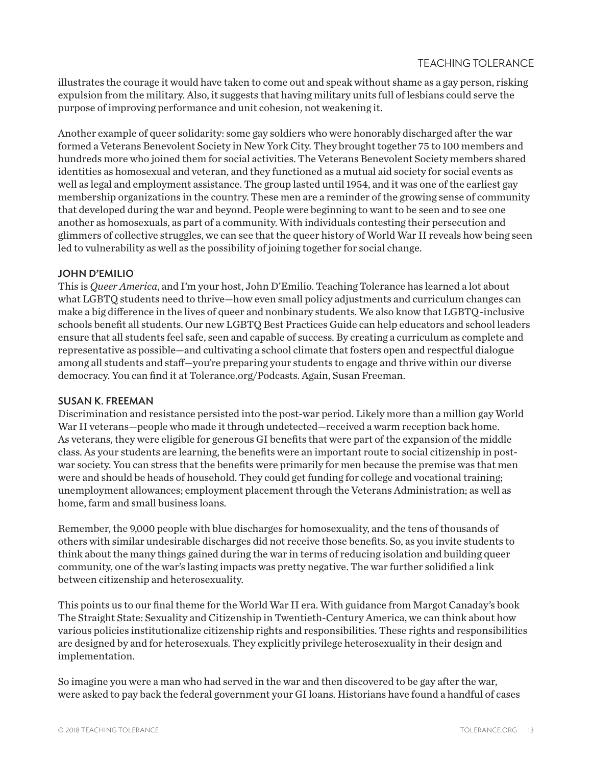illustrates the courage it would have taken to come out and speak without shame as a gay person, risking expulsion from the military. Also, it suggests that having military units full of lesbians could serve the purpose of improving performance and unit cohesion, not weakening it.

Another example of queer solidarity: some gay soldiers who were honorably discharged after the war formed a Veterans Benevolent Society in New York City. They brought together 75 to 100 members and hundreds more who joined them for social activities. The Veterans Benevolent Society members shared identities as homosexual and veteran, and they functioned as a mutual aid society for social events as well as legal and employment assistance. The group lasted until 1954, and it was one of the earliest gay membership organizations in the country. These men are a reminder of the growing sense of community that developed during the war and beyond. People were beginning to want to be seen and to see one another as homosexuals, as part of a community. With individuals contesting their persecution and glimmers of collective struggles, we can see that the queer history of World War II reveals how being seen led to vulnerability as well as the possibility of joining together for social change.

## JOHN D'EMILIO

This is *Queer America*, and I'm your host, John D'Emilio. Teaching Tolerance has learned a lot about what LGBTQ students need to thrive—how even small policy adjustments and curriculum changes can make a big difference in the lives of queer and nonbinary students. We also know that LGBTQ-inclusive schools benefit all students. Our new LGBTQ Best Practices Guide can help educators and school leaders ensure that all students feel safe, seen and capable of success. By creating a curriculum as complete and representative as possible—and cultivating a school climate that fosters open and respectful dialogue among all students and staff—you're preparing your students to engage and thrive within our diverse democracy. You can find it at Tolerance.org/Podcasts. Again, Susan Freeman.

#### SUSAN K. FREEMAN

Discrimination and resistance persisted into the post-war period. Likely more than a million gay World War II veterans—people who made it through undetected—received a warm reception back home. As veterans, they were eligible for generous GI benefits that were part of the expansion of the middle class. As your students are learning, the benefits were an important route to social citizenship in postwar society. You can stress that the benefits were primarily for men because the premise was that men were and should be heads of household. They could get funding for college and vocational training; unemployment allowances; employment placement through the Veterans Administration; as well as home, farm and small business loans.

Remember, the 9,000 people with blue discharges for homosexuality, and the tens of thousands of others with similar undesirable discharges did not receive those benefits. So, as you invite students to think about the many things gained during the war in terms of reducing isolation and building queer community, one of the war's lasting impacts was pretty negative. The war further solidified a link between citizenship and heterosexuality.

This points us to our final theme for the World War II era. With guidance from Margot Canaday's book The Straight State: Sexuality and Citizenship in Twentieth-Century America, we can think about how various policies institutionalize citizenship rights and responsibilities. These rights and responsibilities are designed by and for heterosexuals. They explicitly privilege heterosexuality in their design and implementation.

So imagine you were a man who had served in the war and then discovered to be gay after the war, were asked to pay back the federal government your GI loans. Historians have found a handful of cases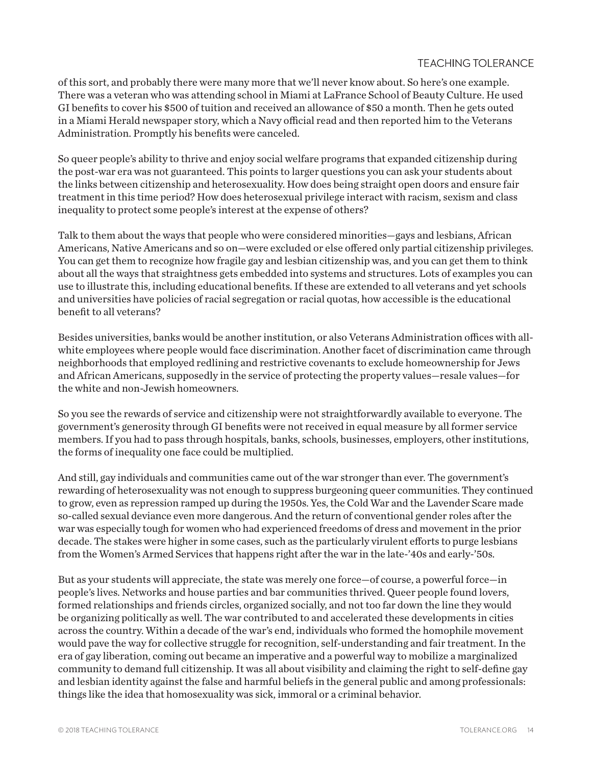## **TEACHING TOLERANCE**

of this sort, and probably there were many more that we'll never know about. So here's one example. There was a veteran who was attending school in Miami at LaFrance School of Beauty Culture. He used GI benefits to cover his \$500 of tuition and received an allowance of \$50 a month. Then he gets outed in a Miami Herald newspaper story, which a Navy official read and then reported him to the Veterans Administration. Promptly his benefits were canceled.

So queer people's ability to thrive and enjoy social welfare programs that expanded citizenship during the post-war era was not guaranteed. This points to larger questions you can ask your students about the links between citizenship and heterosexuality. How does being straight open doors and ensure fair treatment in this time period? How does heterosexual privilege interact with racism, sexism and class inequality to protect some people's interest at the expense of others?

Talk to them about the ways that people who were considered minorities—gays and lesbians, African Americans, Native Americans and so on—were excluded or else offered only partial citizenship privileges. You can get them to recognize how fragile gay and lesbian citizenship was, and you can get them to think about all the ways that straightness gets embedded into systems and structures. Lots of examples you can use to illustrate this, including educational benefits. If these are extended to all veterans and yet schools and universities have policies of racial segregation or racial quotas, how accessible is the educational benefit to all veterans?

Besides universities, banks would be another institution, or also Veterans Administration offices with allwhite employees where people would face discrimination. Another facet of discrimination came through neighborhoods that employed redlining and restrictive covenants to exclude homeownership for Jews and African Americans, supposedly in the service of protecting the property values—resale values—for the white and non-Jewish homeowners.

So you see the rewards of service and citizenship were not straightforwardly available to everyone. The government's generosity through GI benefits were not received in equal measure by all former service members. If you had to pass through hospitals, banks, schools, businesses, employers, other institutions, the forms of inequality one face could be multiplied.

And still, gay individuals and communities came out of the war stronger than ever. The government's rewarding of heterosexuality was not enough to suppress burgeoning queer communities. They continued to grow, even as repression ramped up during the 1950s. Yes, the Cold War and the Lavender Scare made so-called sexual deviance even more dangerous. And the return of conventional gender roles after the war was especially tough for women who had experienced freedoms of dress and movement in the prior decade. The stakes were higher in some cases, such as the particularly virulent efforts to purge lesbians from the Women's Armed Services that happens right after the war in the late-'40s and early-'50s.

But as your students will appreciate, the state was merely one force—of course, a powerful force—in people's lives. Networks and house parties and bar communities thrived. Queer people found lovers, formed relationships and friends circles, organized socially, and not too far down the line they would be organizing politically as well. The war contributed to and accelerated these developments in cities across the country. Within a decade of the war's end, individuals who formed the homophile movement would pave the way for collective struggle for recognition, self-understanding and fair treatment. In the era of gay liberation, coming out became an imperative and a powerful way to mobilize a marginalized community to demand full citizenship. It was all about visibility and claiming the right to self-define gay and lesbian identity against the false and harmful beliefs in the general public and among professionals: things like the idea that homosexuality was sick, immoral or a criminal behavior.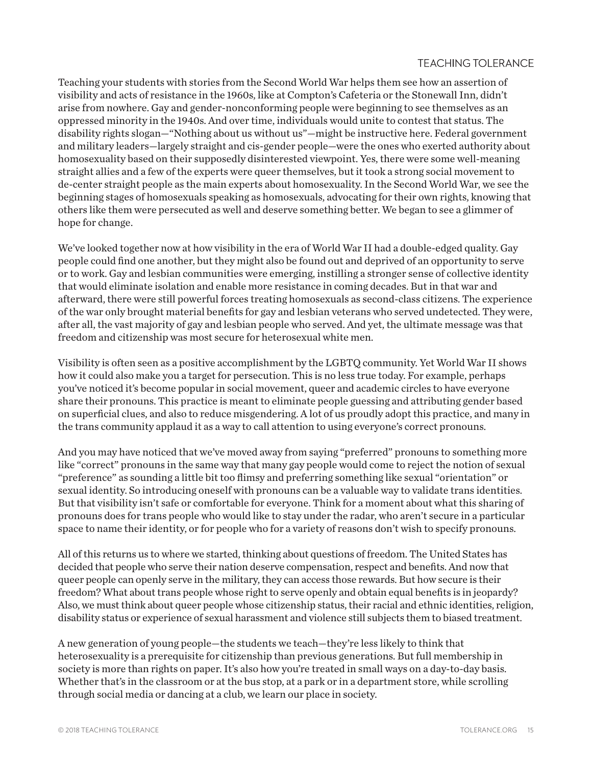## **TEACHING TOLERANCE**

Teaching your students with stories from the Second World War helps them see how an assertion of visibility and acts of resistance in the 1960s, like at Compton's Cafeteria or the Stonewall Inn, didn't arise from nowhere. Gay and gender-nonconforming people were beginning to see themselves as an oppressed minority in the 1940s. And over time, individuals would unite to contest that status. The disability rights slogan—"Nothing about us without us"—might be instructive here. Federal government and military leaders—largely straight and cis-gender people—were the ones who exerted authority about homosexuality based on their supposedly disinterested viewpoint. Yes, there were some well-meaning straight allies and a few of the experts were queer themselves, but it took a strong social movement to de-center straight people as the main experts about homosexuality. In the Second World War, we see the beginning stages of homosexuals speaking as homosexuals, advocating for their own rights, knowing that others like them were persecuted as well and deserve something better. We began to see a glimmer of hope for change.

We've looked together now at how visibility in the era of World War II had a double-edged quality. Gay people could find one another, but they might also be found out and deprived of an opportunity to serve or to work. Gay and lesbian communities were emerging, instilling a stronger sense of collective identity that would eliminate isolation and enable more resistance in coming decades. But in that war and afterward, there were still powerful forces treating homosexuals as second-class citizens. The experience of the war only brought material benefits for gay and lesbian veterans who served undetected. They were, after all, the vast majority of gay and lesbian people who served. And yet, the ultimate message was that freedom and citizenship was most secure for heterosexual white men.

Visibility is often seen as a positive accomplishment by the LGBTQ community. Yet World War II shows how it could also make you a target for persecution. This is no less true today. For example, perhaps you've noticed it's become popular in social movement, queer and academic circles to have everyone share their pronouns. This practice is meant to eliminate people guessing and attributing gender based on superficial clues, and also to reduce misgendering. A lot of us proudly adopt this practice, and many in the trans community applaud it as a way to call attention to using everyone's correct pronouns.

And you may have noticed that we've moved away from saying "preferred" pronouns to something more like "correct" pronouns in the same way that many gay people would come to reject the notion of sexual "preference" as sounding a little bit too flimsy and preferring something like sexual "orientation" or sexual identity. So introducing oneself with pronouns can be a valuable way to validate trans identities. But that visibility isn't safe or comfortable for everyone. Think for a moment about what this sharing of pronouns does for trans people who would like to stay under the radar, who aren't secure in a particular space to name their identity, or for people who for a variety of reasons don't wish to specify pronouns.

All of this returns us to where we started, thinking about questions of freedom. The United States has decided that people who serve their nation deserve compensation, respect and benefits. And now that queer people can openly serve in the military, they can access those rewards. But how secure is their freedom? What about trans people whose right to serve openly and obtain equal benefits is in jeopardy? Also, we must think about queer people whose citizenship status, their racial and ethnic identities, religion, disability status or experience of sexual harassment and violence still subjects them to biased treatment.

A new generation of young people—the students we teach—they're less likely to think that heterosexuality is a prerequisite for citizenship than previous generations. But full membership in society is more than rights on paper. It's also how you're treated in small ways on a day-to-day basis. Whether that's in the classroom or at the bus stop, at a park or in a department store, while scrolling through social media or dancing at a club, we learn our place in society.